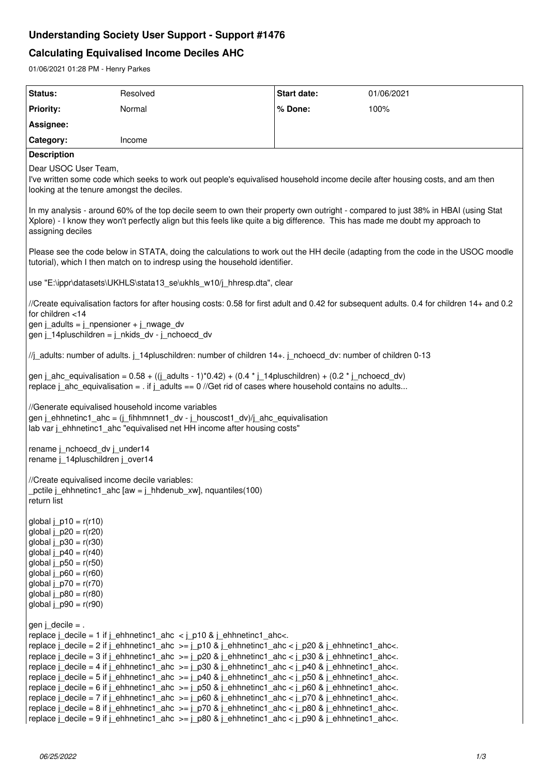# **Understanding Society User Support - Support #1476**

# **Calculating Equivalised Income Deciles AHC**

01/06/2021 01:28 PM - Henry Parkes

| Status:                                                                                                                                                                                                                                                                                                                                                                                                                                                                                                                                                                                                                                                                                                                                                                                                                                                                                                                                                                                                                                                                                                               | Resolved | Start date: | 01/06/2021 |
|-----------------------------------------------------------------------------------------------------------------------------------------------------------------------------------------------------------------------------------------------------------------------------------------------------------------------------------------------------------------------------------------------------------------------------------------------------------------------------------------------------------------------------------------------------------------------------------------------------------------------------------------------------------------------------------------------------------------------------------------------------------------------------------------------------------------------------------------------------------------------------------------------------------------------------------------------------------------------------------------------------------------------------------------------------------------------------------------------------------------------|----------|-------------|------------|
| <b>Priority:</b>                                                                                                                                                                                                                                                                                                                                                                                                                                                                                                                                                                                                                                                                                                                                                                                                                                                                                                                                                                                                                                                                                                      | Normal   | % Done:     | 100%       |
| Assignee:                                                                                                                                                                                                                                                                                                                                                                                                                                                                                                                                                                                                                                                                                                                                                                                                                                                                                                                                                                                                                                                                                                             |          |             |            |
| Category:                                                                                                                                                                                                                                                                                                                                                                                                                                                                                                                                                                                                                                                                                                                                                                                                                                                                                                                                                                                                                                                                                                             | Income   |             |            |
| <b>Description</b>                                                                                                                                                                                                                                                                                                                                                                                                                                                                                                                                                                                                                                                                                                                                                                                                                                                                                                                                                                                                                                                                                                    |          |             |            |
| Dear USOC User Team,<br>I've written some code which seeks to work out people's equivalised household income decile after housing costs, and am then<br>looking at the tenure amongst the deciles.                                                                                                                                                                                                                                                                                                                                                                                                                                                                                                                                                                                                                                                                                                                                                                                                                                                                                                                    |          |             |            |
| In my analysis - around 60% of the top decile seem to own their property own outright - compared to just 38% in HBAI (using Stat<br>Xplore) - I know they won't perfectly align but this feels like quite a big difference. This has made me doubt my approach to<br>assigning deciles                                                                                                                                                                                                                                                                                                                                                                                                                                                                                                                                                                                                                                                                                                                                                                                                                                |          |             |            |
| Please see the code below in STATA, doing the calculations to work out the HH decile (adapting from the code in the USOC moodle<br>tutorial), which I then match on to indresp using the household identifier.                                                                                                                                                                                                                                                                                                                                                                                                                                                                                                                                                                                                                                                                                                                                                                                                                                                                                                        |          |             |            |
| use "E:\ippr\datasets\UKHLS\stata13_se\ukhls_w10/j_hhresp.dta", clear                                                                                                                                                                                                                                                                                                                                                                                                                                                                                                                                                                                                                                                                                                                                                                                                                                                                                                                                                                                                                                                 |          |             |            |
| //Create equivalisation factors for after housing costs: 0.58 for first adult and 0.42 for subsequent adults. 0.4 for children 14+ and 0.2<br>for children <14<br>gen j_adults = $j$ _npensioner + $j$ _nwage_dv<br>gen j_14pluschildren = j_nkids_dv - j_nchoecd_dv                                                                                                                                                                                                                                                                                                                                                                                                                                                                                                                                                                                                                                                                                                                                                                                                                                                  |          |             |            |
| //j_adults: number of adults. j_14pluschildren: number of children 14+. j_nchoecd_dv: number of children 0-13                                                                                                                                                                                                                                                                                                                                                                                                                                                                                                                                                                                                                                                                                                                                                                                                                                                                                                                                                                                                         |          |             |            |
| gen j_ahc_equivalisation = $0.58 + ((j$ _adults - 1)*0.42) + (0.4 * j_14pluschildren) + (0.2 * j_nchoecd_dv)<br>replace $i$ ahc equivalisation = . if $i$ adults == 0 //Get rid of cases where household contains no adults                                                                                                                                                                                                                                                                                                                                                                                                                                                                                                                                                                                                                                                                                                                                                                                                                                                                                           |          |             |            |
| //Generate equivalised household income variables<br>gen j_ehhnetinc1_ahc = (j_fihhmnnet1_dv - j_houscost1_dv)/j_ahc_equivalisation<br>lab var j_ehhnetinc1_ahc "equivalised net HH income after housing costs"                                                                                                                                                                                                                                                                                                                                                                                                                                                                                                                                                                                                                                                                                                                                                                                                                                                                                                       |          |             |            |
| rename j_nchoecd_dv j_under14<br>rename j 14pluschildren j over14                                                                                                                                                                                                                                                                                                                                                                                                                                                                                                                                                                                                                                                                                                                                                                                                                                                                                                                                                                                                                                                     |          |             |            |
| //Create equivalised income decile variables:<br>pctile j_ehhnetinc1_ahc [aw = j_hhdenub_xw], nquantiles(100)<br>return list                                                                                                                                                                                                                                                                                                                                                                                                                                                                                                                                                                                                                                                                                                                                                                                                                                                                                                                                                                                          |          |             |            |
| global $j$ p10 = $r(r10)$<br>global $j_p20 = r(r20)$<br>global $j_p30 = r(r30)$<br>global $j_p40 = r(r40)$<br>global $j_{D}50 = r(r50)$<br>global $j_p60 = r(r60)$<br>global $j_p70 = r(r70)$<br>global $j_p80 = r(r80)$<br>global $j_p90 = r(r90)$                                                                                                                                                                                                                                                                                                                                                                                                                                                                                                                                                                                                                                                                                                                                                                                                                                                                   |          |             |            |
| gen j_decile = .<br>replace $j$ decile = 1 if $j$ ehhnetinc1 ahc $\langle j \rangle$ p10 & $j$ ehhnetinc1 ahc $\langle j \rangle$ .<br>replace $j$ _decile = 2 if $j$ _ehhnetinc1_ahc >= $j$ _p10 & $j$ _ehhnetinc1_ahc < $j$ _p20 & $j$ _ehhnetinc1_ahc<.<br>replace $j$ _decile = 3 if $j$ _ehhnetinc1_ahc >= $j$ _p20 & $j$ _ehhnetinc1_ahc < $j$ _p30 & $j$ _ehhnetinc1_ahc<.<br>replace $j$ _decile = 4 if $j$ _ehhnetinc1_ahc >= $j$ _p30 & $j$ _ehhnetinc1_ahc < $j$ _p40 & $j$ _ehhnetinc1_ahc<.<br>replace $j$ _decile = 5 if $j$ _ehhnetinc1_ahc >= $j$ _p40 & $j$ _ehhnetinc1_ahc < $j$ _p50 & $j$ _ehhnetinc1_ahc<.<br>replace $j$ _decile = 6 if $j$ _ehhnetinc1_ahc >= $j$ _p50 & $j$ _ehhnetinc1_ahc < $j$ _p60 & $j$ _ehhnetinc1_ahc<.<br>replace $j$ _decile = 7 if $j$ _ehhnetinc1_ahc >= $j$ _p60 & $j$ _ehhnetinc1_ahc < $j$ _p70 & $j$ _ehhnetinc1_ahc<.<br>replace $j$ _decile = 8 if $j$ _ehhnetinc1_ahc >= $j$ _p70 & $j$ _ehhnetinc1_ahc < $j$ _p80 & $j$ _ehhnetinc1_ahc<.<br>replace $j$ decile = 9 if $j$ ehhnetinc1_ahc >= $j$ p80 & $j$ ehhnetinc1_ahc < $j$ p90 & $j$ ehhnetinc1_ahc<. |          |             |            |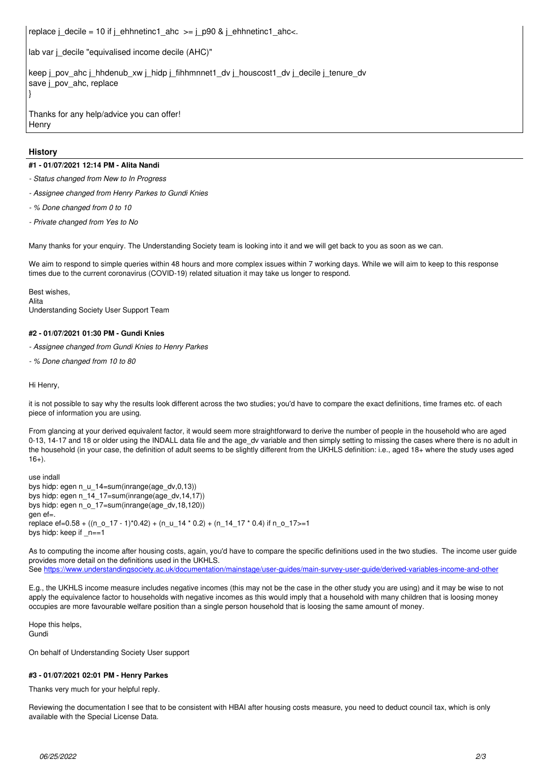replace j\_decile = 10 if j\_ehhnetinc1\_ahc >= j\_p90 & j\_ehhnetinc1\_ahc<.

lab var j\_decile "equivalised income decile (AHC)"

keep j\_pov\_ahc j\_hhdenub\_xw j\_hidp j\_fihhmnnet1\_dv j\_houscost1\_dv j\_decile j\_tenure\_dv save j\_pov\_ahc, replace }

Thanks for any help/advice you can offer! **Henry** 

#### **History**

#### **#1 - 01/07/2021 12:14 PM - Alita Nandi**

*- Status changed from New to In Progress*

- *Assignee changed from Henry Parkes to Gundi Knies*
- *% Done changed from 0 to 10*
- *Private changed from Yes to No*

Many thanks for your enquiry. The Understanding Society team is looking into it and we will get back to you as soon as we can.

We aim to respond to simple queries within 48 hours and more complex issues within 7 working days. While we will aim to keep to this response times due to the current coronavirus (COVID-19) related situation it may take us longer to respond.

Best wishes, Alita Understanding Society User Support Team

#### **#2 - 01/07/2021 01:30 PM - Gundi Knies**

*- Assignee changed from Gundi Knies to Henry Parkes*

*- % Done changed from 10 to 80*

#### Hi Henry,

it is not possible to say why the results look different across the two studies; you'd have to compare the exact definitions, time frames etc. of each piece of information you are using.

From glancing at your derived equivalent factor, it would seem more straightforward to derive the number of people in the household who are aged 0-13, 14-17 and 18 or older using the INDALL data file and the age\_dv variable and then simply setting to missing the cases where there is no adult in the household (in your case, the definition of adult seems to be slightly different from the UKHLS definition: i.e., aged 18+ where the study uses aged  $16+$ ).

use indall bys hidp: egen n\_u\_14=sum(inrange(age\_dv,0,13)) bys hidp: egen n\_14\_17=sum(inrange(age\_dv,14,17)) bys hidp: egen n\_o\_17=sum(inrange(age\_dv,18,120)) gen ef=. replace ef=0.58 +  $((n_0_1 17 - 1)^*0.42)$  +  $(n_0_1 14 * 0.2)$  +  $(n_1 14 - 17 * 0.4)$  if n\_o\_17>=1 bys hidp: keep if \_n==1

As to computing the income after housing costs, again, you'd have to compare the specific definitions used in the two studies. The income user guide provides more detail on the definitions used in the UKHLS.

See <https://www.understandingsociety.ac.uk/documentation/mainstage/user-guides/main-survey-user-guide/derived-variables-income-and-other>

E.g., the UKHLS income measure includes negative incomes (this may not be the case in the other study you are using) and it may be wise to not apply the equivalence factor to households with negative incomes as this would imply that a household with many children that is loosing money occupies are more favourable welfare position than a single person household that is loosing the same amount of money.

Hope this helps, Gundi

On behalf of Understanding Society User support

#### **#3 - 01/07/2021 02:01 PM - Henry Parkes**

Thanks very much for your helpful reply.

Reviewing the documentation I see that to be consistent with HBAI after housing costs measure, you need to deduct council tax, which is only available with the Special License Data.